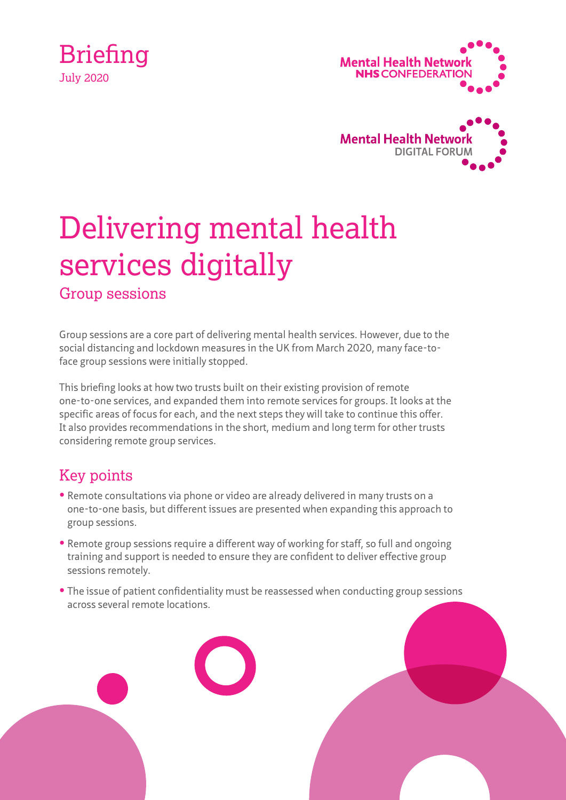





# Delivering mental health services digitally

Group sessions

Group sessions are a core part of delivering mental health services. However, due to the social distancing and lockdown measures in the UK from March 2020, many face-toface group sessions were initially stopped.

This briefing looks at how two trusts built on their existing provision of remote one-to-one services, and expanded them into remote services for groups. It looks at the specific areas of focus for each, and the next steps they will take to continue this offer. It also provides recommendations in the short, medium and long term for other trusts considering remote group services.

## Key points

- **•** Remote consultations via phone or video are already delivered in many trusts on a one-to-one basis, but different issues are presented when expanding this approach to group sessions.
- **•** Remote group sessions require a different way of working for staff, so full and ongoing training and support is needed to ensure they are confident to deliver effective group sessions remotely.
- **•** The issue of patient confidentiality must be reassessed when conducting group sessions across several remote locations.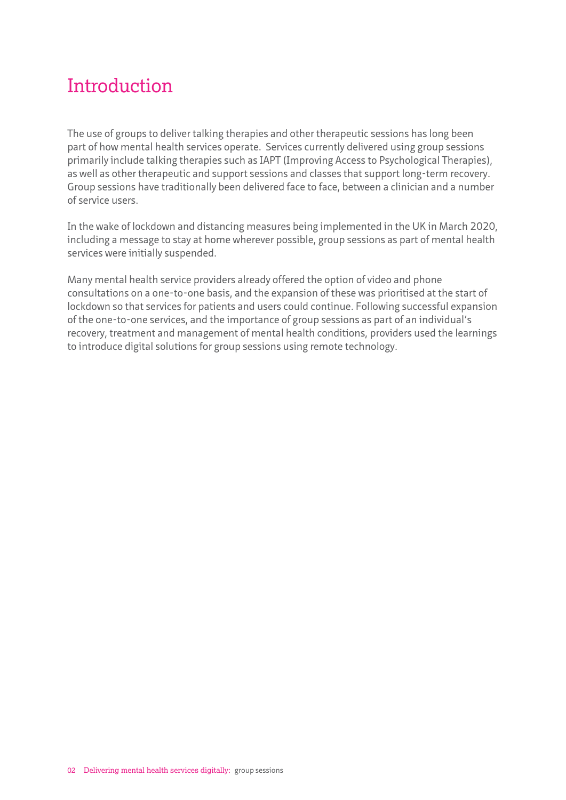## Introduction

The use of groups to deliver talking therapies and other therapeutic sessions has long been part of how mental health services operate. Services currently delivered using group sessions primarily include talking therapies such as IAPT (Improving Access to Psychological Therapies), as well as other therapeutic and support sessions and classes that support long-term recovery. Group sessions have traditionally been delivered face to face, between a clinician and a number of service users.

In the wake of lockdown and distancing measures being implemented in the UK in March 2020, including a message to stay at home wherever possible, group sessions as part of mental health services were initially suspended.

Many mental health service providers already offered the option of video and phone consultations on a one-to-one basis, and the expansion of these was prioritised at the start of lockdown so that services for patients and users could continue. Following successful expansion of the one-to-one services, and the importance of group sessions as part of an individual's recovery, treatment and management of mental health conditions, providers used the learnings to introduce digital solutions for group sessions using remote technology.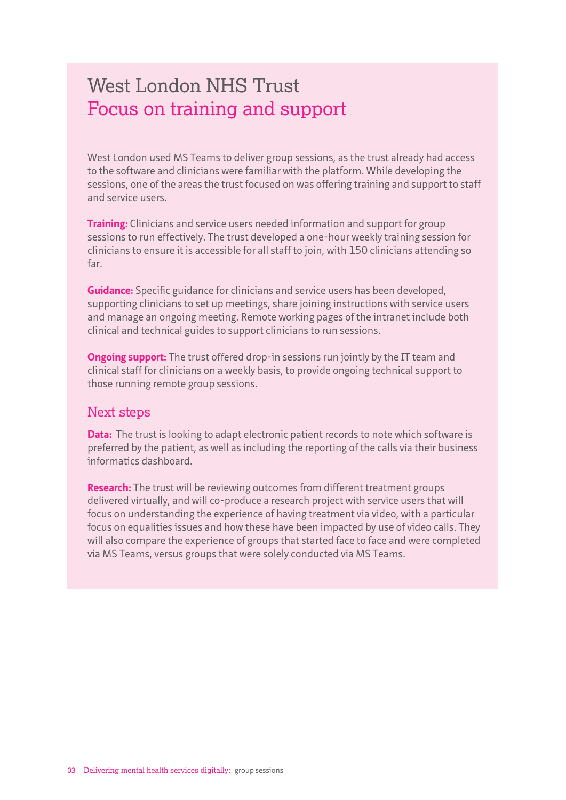## West London NHS Trust Focus on training and support

West London used MS Teams to deliver group sessions, as the trust already had access to the software and clinicians were familiar with the platform. While developing the sessions, one of the areas the trust focused on was offering training and support to staff and service users.

**Training:** Clinicians and service users needed information and support for group sessions to run effectively. The trust developed a one-hour weekly training session for clinicians to ensure it is accessible for all staff to join, with 150 clinicians attending so far.

**Guidance:** Specific guidance for clinicians and service users has been developed, supporting clinicians to set up meetings, share joining instructions with service users and manage an ongoing meeting. Remote working pages of the intranet include both clinical and technical guides to support clinicians to run sessions.

**Ongoing support:** The trust offered drop-in sessions run jointly by the IT team and clinical staff for clinicians on a weekly basis, to provide ongoing technical support to those running remote group sessions.

#### Next steps

**Data:** The trust is looking to adapt electronic patient records to note which software is preferred by the patient, as well as including the reporting of the calls via their business informatics dashboard.

**Research:** The trust will be reviewing outcomes from different treatment groups delivered virtually, and will co-produce a research project with service users that will focus on understanding the experience of having treatment via video, with a particular focus on equalities issues and how these have been impacted by use of video calls. They will also compare the experience of groups that started face to face and were completed via MS Teams, versus groups that were solely conducted via MS Teams.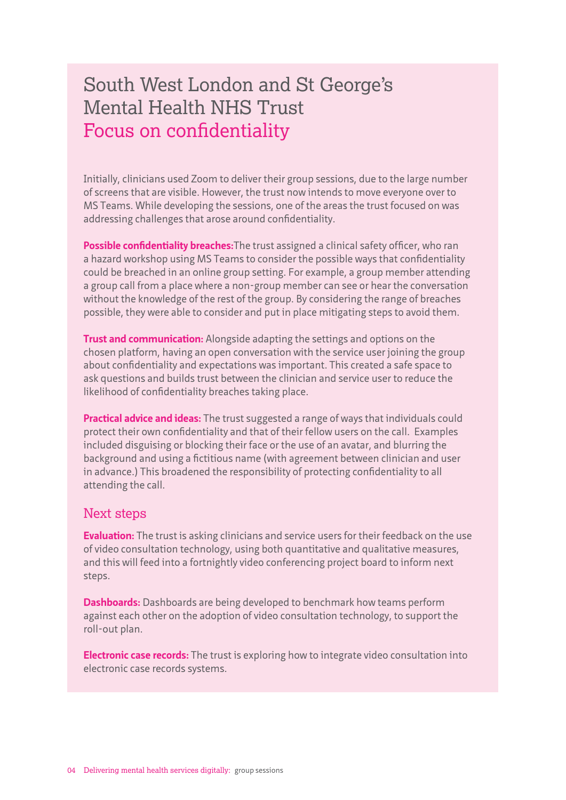## South West London and St George's Mental Health NHS Trust Focus on confidentiality

Initially, clinicians used Zoom to deliver their group sessions, due to the large number of screens that are visible. However, the trust now intends to move everyone over to MS Teams. While developing the sessions, one of the areas the trust focused on was addressing challenges that arose around confidentiality.

**Possible confidentiality breaches:**The trust assigned a clinical safety officer, who ran a hazard workshop using MS Teams to consider the possible ways that confidentiality could be breached in an online group setting. For example, a group member attending a group call from a place where a non-group member can see or hear the conversation without the knowledge of the rest of the group. By considering the range of breaches possible, they were able to consider and put in place mitigating steps to avoid them.

**Trust and communication:** Alongside adapting the settings and options on the chosen platform, having an open conversation with the service user joining the group about confidentiality and expectations was important. This created a safe space to ask questions and builds trust between the clinician and service user to reduce the likelihood of confidentiality breaches taking place.

**Practical advice and ideas:** The trust suggested a range of ways that individuals could protect their own confidentiality and that of their fellow users on the call. Examples included disguising or blocking their face or the use of an avatar, and blurring the background and using a fictitious name (with agreement between clinician and user in advance.) This broadened the responsibility of protecting confidentiality to all attending the call.

#### Next steps

**Evaluation:** The trust is asking clinicians and service users for their feedback on the use of video consultation technology, using both quantitative and qualitative measures, and this will feed into a fortnightly video conferencing project board to inform next steps.

**Dashboards:** Dashboards are being developed to benchmark how teams perform against each other on the adoption of video consultation technology, to support the roll-out plan.

**Electronic case records:** The trust is exploring how to integrate video consultation into electronic case records systems.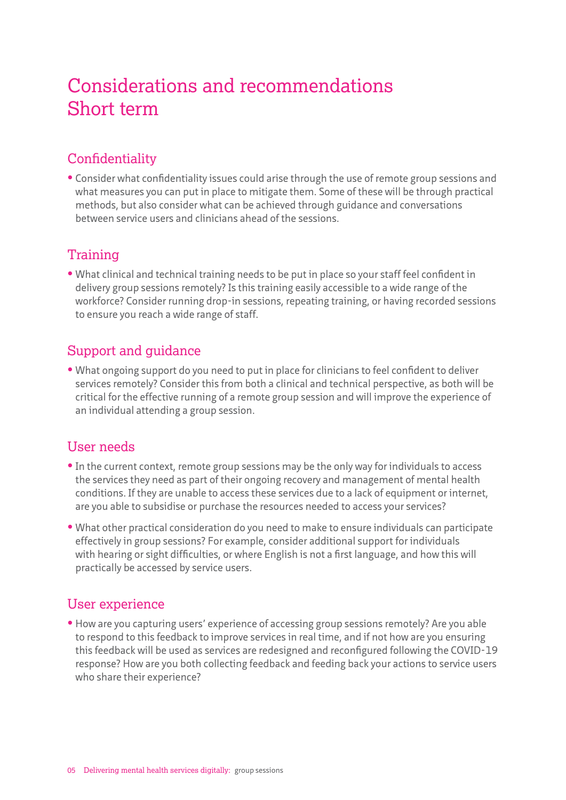# Considerations and recommendations Short term

### **Confidentiality**

**•** Consider what confidentiality issues could arise through the use of remote group sessions and what measures you can put in place to mitigate them. Some of these will be through practical methods, but also consider what can be achieved through guidance and conversations between service users and clinicians ahead of the sessions.

#### **Training**

**•** What clinical and technical training needs to be put in place so your staff feel confident in delivery group sessions remotely? Is this training easily accessible to a wide range of the workforce? Consider running drop-in sessions, repeating training, or having recorded sessions to ensure you reach a wide range of staff.

#### Support and guidance

**•** What ongoing support do you need to put in place for clinicians to feel confident to deliver services remotely? Consider this from both a clinical and technical perspective, as both will be critical for the effective running of a remote group session and will improve the experience of an individual attending a group session.

#### User needs

- **•** In the current context, remote group sessions may be the only way for individuals to access the services they need as part of their ongoing recovery and management of mental health conditions. If they are unable to access these services due to a lack of equipment or internet, are you able to subsidise or purchase the resources needed to access your services?
- **•** What other practical consideration do you need to make to ensure individuals can participate effectively in group sessions? For example, consider additional support for individuals with hearing or sight difficulties, or where English is not a first language, and how this will practically be accessed by service users.

#### User experience

**•** How are you capturing users' experience of accessing group sessions remotely? Are you able to respond to this feedback to improve services in real time, and if not how are you ensuring this feedback will be used as services are redesigned and reconfigured following the COVID-19 response? How are you both collecting feedback and feeding back your actions to service users who share their experience?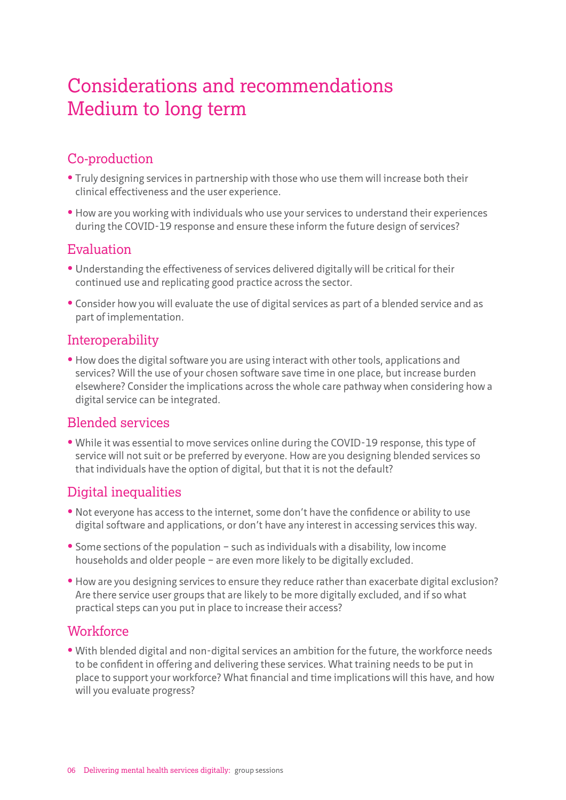# Considerations and recommendations Medium to long term

#### Co-production

- **•** Truly designing services in partnership with those who use them will increase both their clinical effectiveness and the user experience.
- **•** How are you working with individuals who use your services to understand their experiences during the COVID-19 response and ensure these inform the future design of services?

#### Evaluation

- **•** Understanding the effectiveness of services delivered digitally will be critical for their continued use and replicating good practice across the sector.
- **•** Consider how you will evaluate the use of digital services as part of a blended service and as part of implementation.

#### Interoperability

**•** How does the digital software you are using interact with other tools, applications and services? Will the use of your chosen software save time in one place, but increase burden elsewhere? Consider the implications across the whole care pathway when considering how a digital service can be integrated.

#### Blended services

**•** While it was essential to move services online during the COVID-19 response, this type of service will not suit or be preferred by everyone. How are you designing blended services so that individuals have the option of digital, but that it is not the default?

#### Digital inequalities

- **•** Not everyone has access to the internet, some don't have the confidence or ability to use digital software and applications, or don't have any interest in accessing services this way.
- **•** Some sections of the population such as individuals with a disability, low income households and older people – are even more likely to be digitally excluded.
- **•** How are you designing services to ensure they reduce rather than exacerbate digital exclusion? Are there service user groups that are likely to be more digitally excluded, and if so what practical steps can you put in place to increase their access?

#### **Workforce**

**•** With blended digital and non-digital services an ambition for the future, the workforce needs to be confident in offering and delivering these services. What training needs to be put in place to support your workforce? What financial and time implications will this have, and how will you evaluate progress?